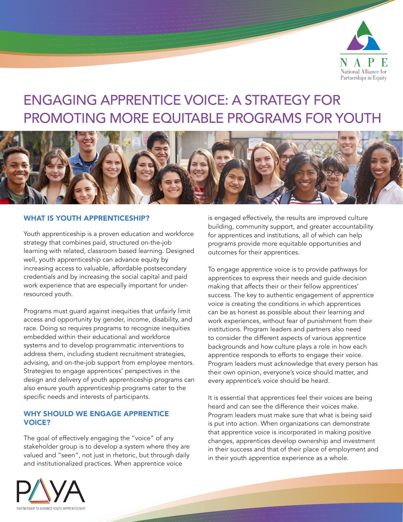

# ENGAGING APPRENTICE VOICE: A STRATEGY FOR PROMOTING MORE EQUITABLE PROGRAMS FOR YOUTH



### WHAT IS YOUTH APPRENTICESHIP?

Youth apprenticeship is a proven education and workforce strategy that combines paid, structured on-the-job learning with related, classroom based learning. Designed well, youth apprenticeship can advance equity by increasing access to valuable, affordable postsecondary credentials and by increasing the social capital and paid work experience that are especially important for underresourced youth.

Programs must guard against inequities that unfairly limit access and opportunity by gender, income, disability, and race. Doing so requires programs to recognize inequities embedded within their educational and workforce systems and to develop programmatic interventions to address them, including student recruitment strategies, advising, and on-the-job support from employee mentors. Strategies to engage apprentices' perspectives in the design and delivery of youth apprenticeship programs can also ensure youth apprenticeship programs cater to the specific needs and interests of participants.

#### WHY SHOULD WE ENGAGE APPRENTICE VOICE?

The goal of effectively engaging the "voice" of any stakeholder group is to develop a system where they are valued and "seen", not just in rhetoric, but through daily and institutionalized practices. When apprentice voice

is engaged effectively, the results are improved culture building, community support, and greater accountability for apprentices and institutions, all of which can help programs provide more equitable opportunities and outcomes for their apprentices.

To engage apprentice voice is to provide pathways for apprentices to express their needs and guide decision making that affects their or their fellow apprentices' success. The key to authentic engagement of apprentice voice is creating the conditions in which apprentices can be as honest as possible about their learning and work experiences, without fear of punishment from their institutions. Program leaders and partners also need to consider the different aspects of various apprentice backgrounds and how culture plays a role in how each apprentice responds to efforts to engage their voice. Program leaders must acknowledge that every person has their own opinion, everyone's voice should matter, and every apprentice's voice should be heard.

It is essential that apprentices feel their voices are being heard and can see the difference their voices make. Program leaders must make sure that what is being said is put into action. When organizations can demonstrate that apprentice voice is incorporated in making positive changes, apprentices develop ownership and investment in their success and that of their place of employment and in their youth apprentice experience as a whole.